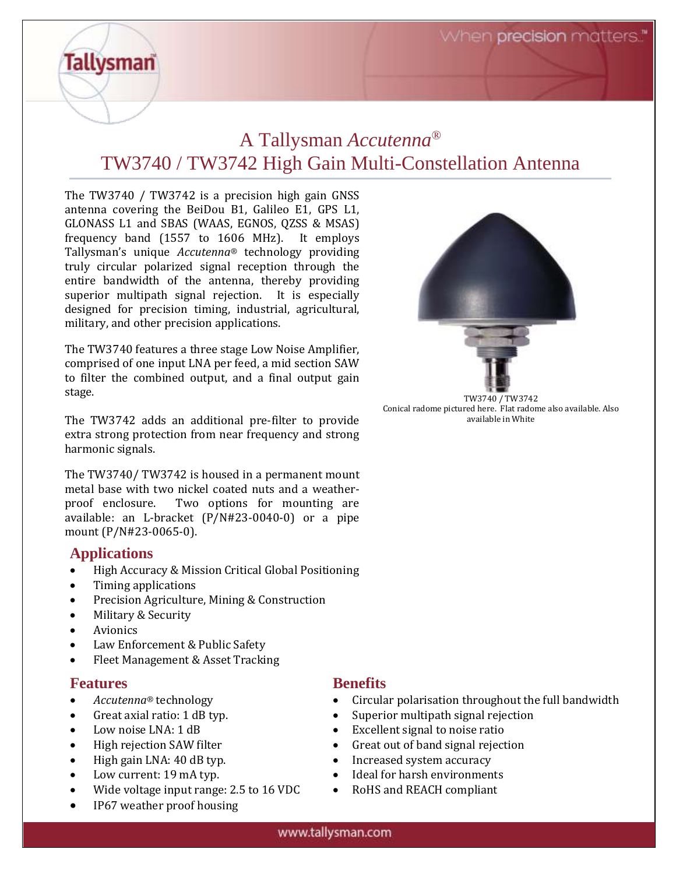When **precision** matters."

# A Tallysman *Accutenna*® TW3740 / TW3742 High Gain Multi-Constellation Antenna

The TW3740 / TW3742 is a precision high gain GNSS antenna covering the BeiDou B1, Galileo E1, GPS L1, GLONASS L1 and SBAS (WAAS, EGNOS, QZSS & MSAS) frequency band (1557 to 1606 MHz). It employs Tallysman's unique *Accutenna®* technology providing truly circular polarized signal reception through the entire bandwidth of the antenna, thereby providing superior multipath signal rejection. It is especially designed for precision timing, industrial, agricultural, military, and other precision applications.

The TW3740 features a three stage Low Noise Amplifier, comprised of one input LNA per feed, a mid section SAW to filter the combined output, and a final output gain stage.

The TW3742 adds an additional pre-filter to provide extra strong protection from near frequency and strong harmonic signals.

The TW3740/ TW3742 is housed in a permanent mount metal base with two nickel coated nuts and a weatherproof enclosure. Two options for mounting are available: an L-bracket (P/N#23-0040-0) or a pipe mount (P/N#23-0065-0).

### **Applications**

**Tallysman** 

- High Accuracy & Mission Critical Global Positioning
- Timing applications
- Precision Agriculture, Mining & Construction
- Military & Security
- Avionics
- Law Enforcement & Public Safety
- Fleet Management & Asset Tracking

#### **Features**

- *Accutenna®* technology
- Great axial ratio: 1 dB typ.
- Low noise LNA: 1 dB
- High rejection SAW filter
- High gain LNA: 40 dB typ.
- Low current: 19 mA typ.
- Wide voltage input range: 2.5 to 16 VDC
- IP67 weather proof housing

## **Benefits**

- Circular polarisation throughout the full bandwidth
- Superior multipath signal rejection
- Excellent signal to noise ratio
- Great out of band signal rejection
- Increased system accuracy
- Ideal for harsh environments
- RoHS and REACH compliant



Conical radome pictured here. Flat radome also available. Also available in White